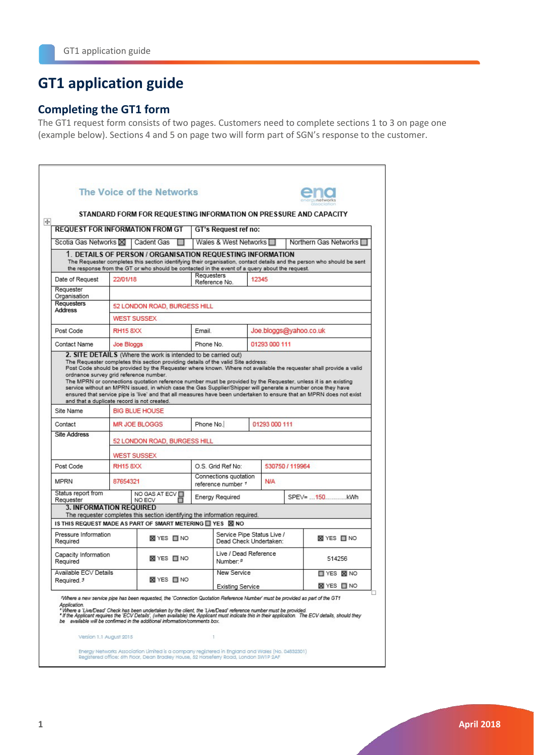# **GT1 application guide**

## **Completing the GT1 form**

The GT1 request form consists of two pages. Customers need to complete sections 1 to 3 on page one (example below). Sections 4 and 5 on page two will form part of SGN's response to the customer.

| The Voice of the Networks                                               |                                                                      |                                                                                                                                                              |                      |                                                      |       |                        |                                                                                                                                                                                                                                                                                                                                                      |  |
|-------------------------------------------------------------------------|----------------------------------------------------------------------|--------------------------------------------------------------------------------------------------------------------------------------------------------------|----------------------|------------------------------------------------------|-------|------------------------|------------------------------------------------------------------------------------------------------------------------------------------------------------------------------------------------------------------------------------------------------------------------------------------------------------------------------------------------------|--|
|                                                                         |                                                                      |                                                                                                                                                              |                      |                                                      |       |                        | STANDARD FORM FOR REQUESTING INFORMATION ON PRESSURE AND CAPACITY                                                                                                                                                                                                                                                                                    |  |
| <b>REQUEST FOR INFORMATION FROM GT</b>                                  |                                                                      |                                                                                                                                                              | GT's Request ref no: |                                                      |       |                        |                                                                                                                                                                                                                                                                                                                                                      |  |
| Scotia Gas Networks XI                                                  |                                                                      | Cadent Gas                                                                                                                                                   |                      | Wales & West Networks                                |       |                        | Northern Gas Networks □                                                                                                                                                                                                                                                                                                                              |  |
|                                                                         |                                                                      | 1. DETAILS OF PERSON / ORGANISATION REQUESTING INFORMATION<br>the response from the GT or who should be contacted in the event of a query about the request. |                      |                                                      |       |                        | The Requester completes this section identifying their organisation, contact details and the person who should be sent                                                                                                                                                                                                                               |  |
| Date of Request                                                         | 22/01/18                                                             |                                                                                                                                                              | Requesters           | Reference No.                                        | 12345 |                        |                                                                                                                                                                                                                                                                                                                                                      |  |
| Requester<br>Organisation                                               |                                                                      |                                                                                                                                                              |                      |                                                      |       |                        |                                                                                                                                                                                                                                                                                                                                                      |  |
| <b>Requesters</b><br><b>Address</b>                                     |                                                                      | 52 LONDON ROAD, BURGESS HILL                                                                                                                                 |                      |                                                      |       |                        |                                                                                                                                                                                                                                                                                                                                                      |  |
|                                                                         | <b>WEST SUSSEX</b>                                                   |                                                                                                                                                              |                      |                                                      |       |                        |                                                                                                                                                                                                                                                                                                                                                      |  |
| Post Code                                                               | <b>RH15 8XX</b>                                                      |                                                                                                                                                              | Email.               |                                                      |       | Joe.bloggs@yahoo.co.uk |                                                                                                                                                                                                                                                                                                                                                      |  |
| Contact Name                                                            | Joe Bloggs                                                           |                                                                                                                                                              | Phone No.            |                                                      |       | 01293 000 111          |                                                                                                                                                                                                                                                                                                                                                      |  |
|                                                                         | ordnance survey grid reference number.                               |                                                                                                                                                              |                      |                                                      |       |                        | Post Code should be provided by the Requester where known. Where not available the requester shall provide a valid<br>The MPRN or connections quotation reference number must be provided by the Requester, unless it is an existing<br>service without an MPRN issued, in which case the Gas Supplier/Shipper will generate a number once they have |  |
| Site Name                                                               | and that a duplicate record is not created.<br><b>BIG BLUE HOUSE</b> |                                                                                                                                                              |                      |                                                      |       |                        | ensured that service pipe is 'live' and that all measures have been undertaken to ensure that an MPRN does not exist                                                                                                                                                                                                                                 |  |
| Contact                                                                 | <b>MR JOE BLOGGS</b>                                                 |                                                                                                                                                              | Phone No.            |                                                      |       | 01293 000 111          |                                                                                                                                                                                                                                                                                                                                                      |  |
| <b>Site Address</b>                                                     |                                                                      | 52 LONDON ROAD, BURGESS HILL                                                                                                                                 |                      |                                                      |       |                        |                                                                                                                                                                                                                                                                                                                                                      |  |
|                                                                         | <b>WEST SUSSEX</b>                                                   |                                                                                                                                                              |                      |                                                      |       |                        |                                                                                                                                                                                                                                                                                                                                                      |  |
|                                                                         | <b>RH15 8XX</b>                                                      |                                                                                                                                                              |                      | O.S. Grid Ref No:                                    |       | 530750 / 119964        |                                                                                                                                                                                                                                                                                                                                                      |  |
| Post Code                                                               | 87654321                                                             |                                                                                                                                                              |                      | Connections quotation<br>reference number 1          |       | <b>N/A</b>             |                                                                                                                                                                                                                                                                                                                                                      |  |
|                                                                         | NO ECV                                                               | NO GAS AT ECV                                                                                                                                                |                      | <b>Energy Required</b>                               |       |                        | SPEV= 150kWh                                                                                                                                                                                                                                                                                                                                         |  |
| Status report from<br>Requester                                         | <b>3. INFORMATION REQUIRED</b>                                       | The requester completes this section identifying the information required.                                                                                   |                      |                                                      |       |                        |                                                                                                                                                                                                                                                                                                                                                      |  |
|                                                                         |                                                                      |                                                                                                                                                              |                      |                                                      |       |                        |                                                                                                                                                                                                                                                                                                                                                      |  |
| Pressure Information<br>Required                                        |                                                                      | <b>X</b> YES □ NO                                                                                                                                            |                      | Service Pipe Status Live /<br>Dead Check Undertaken: |       |                        | <b>⊠</b> YES □ NO                                                                                                                                                                                                                                                                                                                                    |  |
| Capacity Information<br>Required                                        |                                                                      | <b>⊠YES ■NO</b>                                                                                                                                              |                      | Live / Dead Reference<br>Number: <sup>2</sup>        |       |                        | 514256                                                                                                                                                                                                                                                                                                                                               |  |
| Available ECV Details<br>Required. <sup>3</sup>                         |                                                                      | <b>⊠</b> YES □ NO                                                                                                                                            |                      | <b>New Service</b>                                   |       |                        | <b>TYES X NO</b>                                                                                                                                                                                                                                                                                                                                     |  |
| <b>MPRN</b><br>IS THIS REQUEST MADE AS PART OF SMART METERING TYES X NO |                                                                      |                                                                                                                                                              |                      | <b>Existing Service</b>                              |       |                        | <b>⊠</b> YES □ NO<br>*Where a new service pipe has been requested, the 'Connection Quotation Reference Number' must be provided as part of the GT1                                                                                                                                                                                                   |  |

Version 1.1 August 2015

Energy Networks Association Limited is a company registered in England and Wales (No. 04832501)<br>Registered office: 6th Floor, Dean Bradley House, 52 Horseferry Road, Landon SWTP 2AF

 $\bar{1}$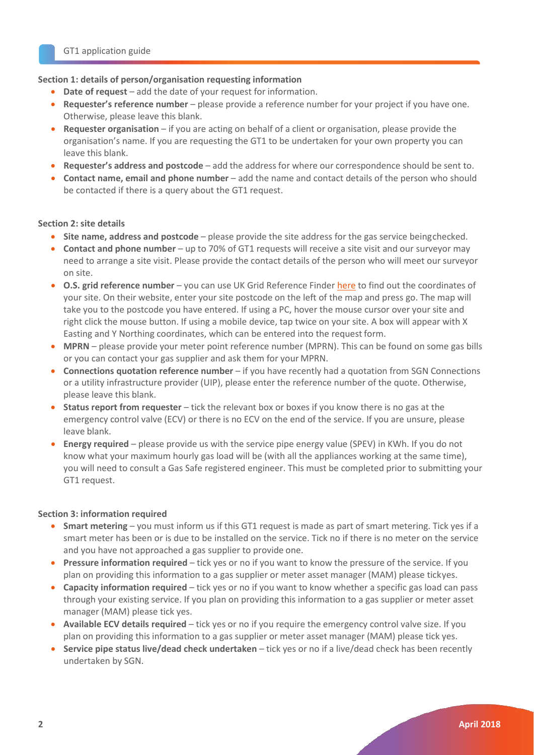### **Section 1: details of person/organisation requesting information**

- Date of request add the date of your request for information.
- **Requester's reference number** please provide a reference number for your project if you have one. Otherwise, please leave this blank.
- **Requester organisation**  if you are acting on behalf of a client or organisation, please provide the organisation's name. If you are requesting the GT1 to be undertaken for your own property you can leave this blank.
- **Requester's address and postcode** add the address for where our correspondence should be sent to.
- **Contact name, email and phone number**  add the name and contact details of the person who should be contacted if there is a query about the GT1 request.

### **Section 2: site details**

- **Site name, address and postcode**  please provide the site address for the gas service beingchecked.
- **Contact and phone number**  up to 70% of GT1 requests will receive a site visit and our surveyor may need to arrange a site visit. Please provide the contact details of the person who will meet our surveyor on site.
- **O.S. grid reference number**  you can use UK Grid Reference Finder [here](https://gridreferencefinder.com/) to find out the coordinates of your site. On their website, enter your site postcode on the left of the map and press go. The map will take you to the postcode you have entered. If using a PC, hover the mouse cursor over your site and right click the mouse button. If using a mobile device, tap twice on your site. A box will appear with X Easting and Y Northing coordinates, which can be entered into the request form.
- **MPRN**  please provide your meter point reference number (MPRN). This can be found on some gas bills or you can contact your gas supplier and ask them for your MPRN.
- **Connections quotation reference number**  if you have recently had a quotation from SGN Connections or a utility infrastructure provider (UIP), please enter the reference number of the quote. Otherwise, please leave this blank.
- **Status report from requester** tick the relevant box or boxes if you know there is no gas at the emergency control valve (ECV) or there is no ECV on the end of the service. If you are unsure, please leave blank.
- **Energy required**  please provide us with the service pipe energy value (SPEV) in KWh. If you do not know what your maximum hourly gas load will be (with all the appliances working at the same time), you will need to consult a Gas Safe registered engineer. This must be completed prior to submitting your GT1 request.

#### **Section 3: information required**

- **Smart metering**  you must inform us if this GT1 request is made as part of smart metering. Tick yes if a smart meter has been or is due to be installed on the service. Tick no if there is no meter on the service and you have not approached a gas supplier to provide one.
- **Pressure information required**  tick yes or no if you want to know the pressure of the service. If you plan on providing this information to a gas supplier or meter asset manager (MAM) please tickyes.
- **Capacity information required**  tick yes or no if you want to know whether a specific gas load can pass through your existing service. If you plan on providing this information to a gas supplier or meter asset manager (MAM) please tick yes.
- **Available ECV details required**  tick yes or no if you require the emergency control valve size. If you plan on providing this information to a gas supplier or meter asset manager (MAM) please tick yes.
- **Service pipe status live/dead check undertaken**  tick yes or no if a live/dead check has been recently undertaken by SGN.